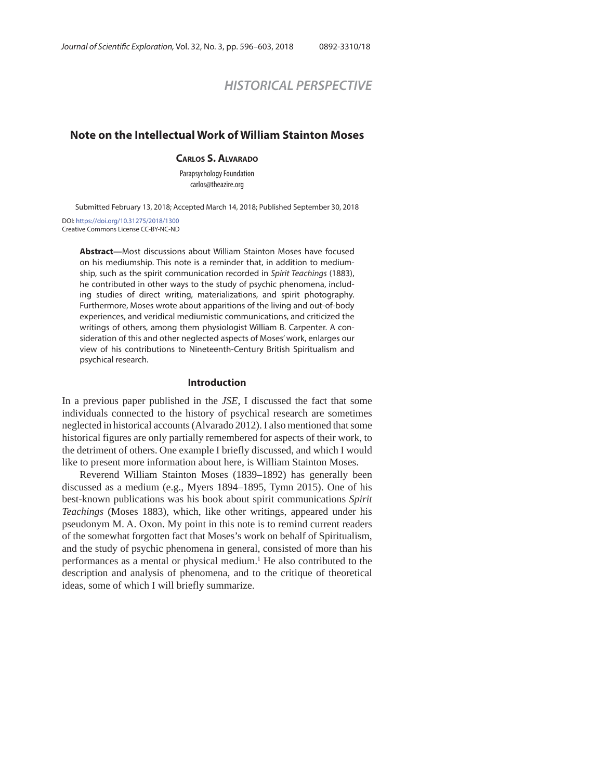# *HISTORICAL PERSPECTIVE*

## **Note on the Intellectual Work of William Stainton Moses**

#### **CARLOS S. ALVARADO**

Parapsychology Foundation carlos@theazire.org

Submitted February 13, 2018; Accepted March 14, 2018; Published September 30, 2018

DOI: https://doi.org/10.31275/2018/1300 Creative Commons License CC-BY-NC-ND

> **Abstract—**Most discussions about William Stainton Moses have focused on his mediumship. This note is a reminder that, in addition to mediumship, such as the spirit communication recorded in Spirit Teachings (1883), he contributed in other ways to the study of psychic phenomena, including studies of direct writing, materializations, and spirit photography. Furthermore, Moses wrote about apparitions of the living and out-of-body experiences, and veridical mediumistic communications, and criticized the writings of others, among them physiologist William B. Carpenter. A consideration of this and other neglected aspects of Moses' work, enlarges our view of his contributions to Nineteenth-Century British Spiritualism and psychical research.

#### **Introduction**

In a previous paper published in the *JSE*, I discussed the fact that some individuals connected to the history of psychical research are sometimes neglected in historical accounts (Alvarado 2012). I also mentioned that some historical figures are only partially remembered for aspects of their work, to the detriment of others. One example I briefly discussed, and which I would like to present more information about here, is William Stainton Moses.

Reverend William Stainton Moses (1839–1892) has generally been discussed as a medium (e.g., Myers 1894–1895, Tymn 2015). One of his best-known publications was his book about spirit communications *Spirit Teachings* (Moses 1883), which, like other writings, appeared under his pseudonym M. A. Oxon. My point in this note is to remind current readers of the somewhat forgotten fact that Moses's work on behalf of Spiritualism, and the study of psychic phenomena in general, consisted of more than his performances as a mental or physical medium.<sup>1</sup> He also contributed to the description and analysis of phenomena, and to the critique of theoretical ideas, some of which I will briefly summarize.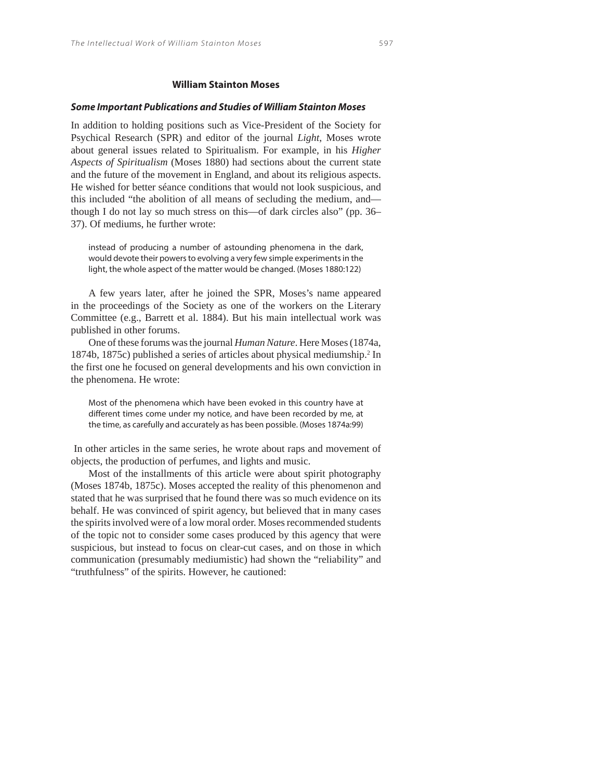#### *Some Important Publications and Studies of William Stainton Moses*

In addition to holding positions such as Vice-President of the Society for Psychical Research (SPR) and editor of the journal *Light*, Moses wrote about general issues related to Spiritualism. For example, in his *Higher Aspects of Spiritualism* (Moses 1880) had sections about the current state and the future of the movement in England, and about its religious aspects. He wished for better séance conditions that would not look suspicious, and this included "the abolition of all means of secluding the medium, and though I do not lay so much stress on this—of dark circles also" (pp. 36– 37). Of mediums, he further wrote:

instead of producing a number of astounding phenomena in the dark, would devote their powers to evolving a very few simple experiments in the light, the whole aspect of the matter would be changed. (Moses 1880:122)

A few years later, after he joined the SPR, Moses's name appeared in the proceedings of the Society as one of the workers on the Literary Committee (e.g., Barrett et al. 1884). But his main intellectual work was published in other forums.

One of these forums was the journal *Human Nature*. Here Moses (1874a, 1874b, 1875c) published a series of articles about physical mediumship.2 In the first one he focused on general developments and his own conviction in the phenomena. He wrote:

Most of the phenomena which have been evoked in this country have at different times come under my notice, and have been recorded by me, at the time, as carefully and accurately as has been possible. (Moses 1874a:99)

 In other articles in the same series, he wrote about raps and movement of objects, the production of perfumes, and lights and music.

Most of the installments of this article were about spirit photography (Moses 1874b, 1875c). Moses accepted the reality of this phenomenon and stated that he was surprised that he found there was so much evidence on its behalf. He was convinced of spirit agency, but believed that in many cases the spirits involved were of a low moral order. Moses recommended students of the topic not to consider some cases produced by this agency that were suspicious, but instead to focus on clear-cut cases, and on those in which communication (presumably mediumistic) had shown the "reliability" and "truthfulness" of the spirits. However, he cautioned: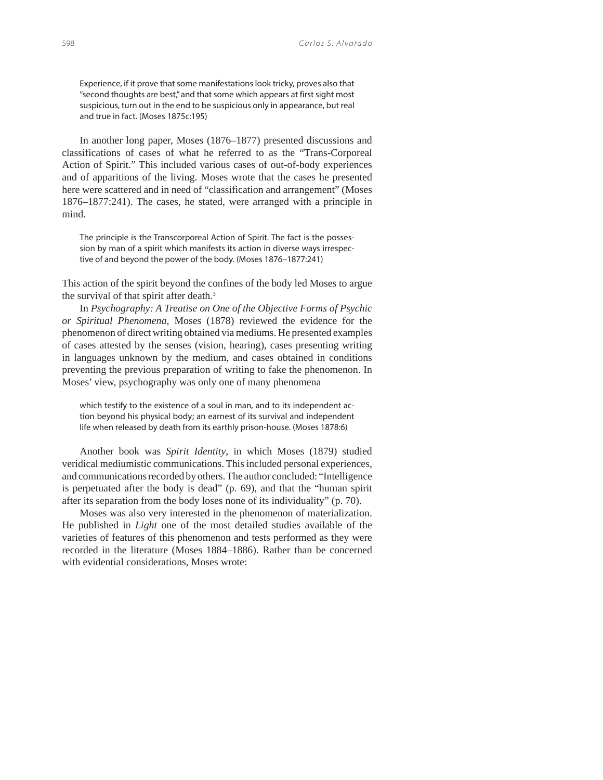Experience, if it prove that some manifestations look tricky, proves also that "second thoughts are best," and that some which appears at first sight most suspicious, turn out in the end to be suspicious only in appearance, but real and true in fact. (Moses 1875c:195)

In another long paper, Moses (1876–1877) presented discussions and classifications of cases of what he referred to as the "Trans-Corporeal Action of Spirit." This included various cases of out-of-body experiences and of apparitions of the living. Moses wrote that the cases he presented here were scattered and in need of "classification and arrangement" (Moses 1876–1877:241). The cases, he stated, were arranged with a principle in mind.

The principle is the Transcorporeal Action of Spirit. The fact is the possession by man of a spirit which manifests its action in diverse ways irrespective of and beyond the power of the body. (Moses 1876–1877:241)

This action of the spirit beyond the confines of the body led Moses to argue the survival of that spirit after death.<sup>3</sup>

In *Psychography: A Treatise on One of the Objective Forms of Psychic or Spiritual Phenomena*, Moses (1878) reviewed the evidence for the phenomenon of direct writing obtained via mediums. He presented examples of cases attested by the senses (vision, hearing), cases presenting writing in languages unknown by the medium, and cases obtained in conditions preventing the previous preparation of writing to fake the phenomenon. In Moses' view, psychography was only one of many phenomena

which testify to the existence of a soul in man, and to its independent action beyond his physical body; an earnest of its survival and independent life when released by death from its earthly prison-house. (Moses 1878:6)

Another book was *Spirit Identity*, in which Moses (1879) studied veridical mediumistic communications. This included personal experiences, and communications recorded by others. The author concluded: "Intelligence is perpetuated after the body is dead" (p. 69), and that the "human spirit after its separation from the body loses none of its individuality" (p. 70).

Moses was also very interested in the phenomenon of materialization. He published in *Light* one of the most detailed studies available of the varieties of features of this phenomenon and tests performed as they were recorded in the literature (Moses 1884–1886). Rather than be concerned with evidential considerations, Moses wrote: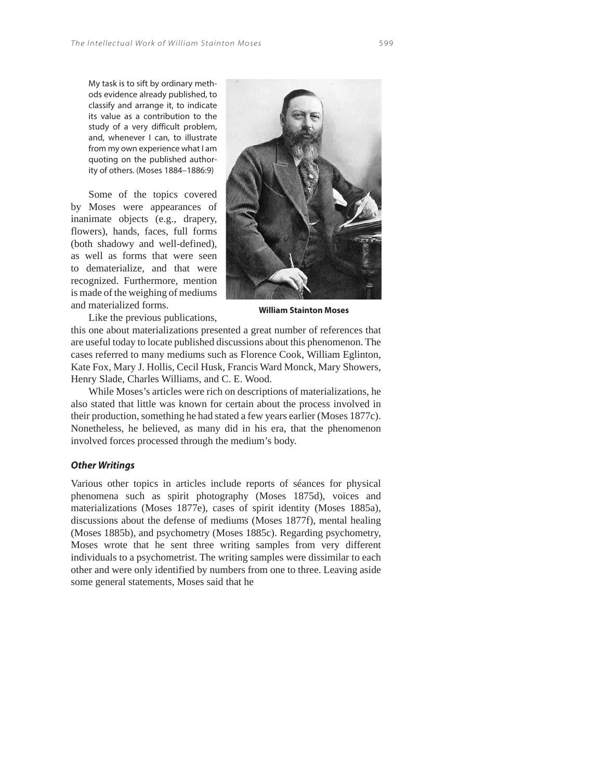My task is to sift by ordinary methods evidence already published, to classify and arrange it, to indicate its value as a contribution to the study of a very difficult problem, and, whenever I can, to illustrate from my own experience what I am quoting on the published authority of others. (Moses 1884–1886:9)

Some of the topics covered by Moses were appearances of inanimate objects (e.g., drapery, flowers), hands, faces, full forms (both shadowy and well-defined), as well as forms that were seen to dematerialize, and that were recognized. Furthermore, mention is made of the weighing of mediums and materialized forms.



**William Stainton Moses**

Like the previous publications,

this one about materializations presented a great number of references that are useful today to locate published discussions about this phenomenon. The cases referred to many mediums such as Florence Cook, William Eglinton, Kate Fox, Mary J. Hollis, Cecil Husk, Francis Ward Monck, Mary Showers, Henry Slade, Charles Williams, and C. E. Wood.

While Moses's articles were rich on descriptions of materializations, he also stated that little was known for certain about the process involved in their production, something he had stated a few years earlier (Moses 1877c). Nonetheless, he believed, as many did in his era, that the phenomenon involved forces processed through the medium's body.

### *Other Writings*

Various other topics in articles include reports of séances for physical phenomena such as spirit photography (Moses 1875d), voices and materializations (Moses 1877e), cases of spirit identity (Moses 1885a), discussions about the defense of mediums (Moses 1877f), mental healing (Moses 1885b), and psychometry (Moses 1885c). Regarding psychometry, Moses wrote that he sent three writing samples from very different individuals to a psychometrist. The writing samples were dissimilar to each other and were only identified by numbers from one to three. Leaving aside some general statements, Moses said that he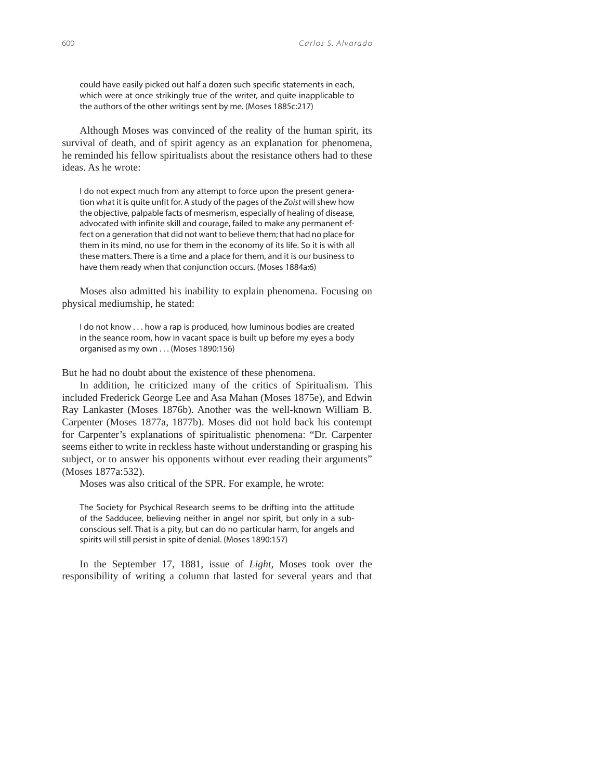could have easily picked out half a dozen such specific statements in each, which were at once strikingly true of the writer, and quite inapplicable to the authors of the other writings sent by me. (Moses 1885c:217)

Although Moses was convinced of the reality of the human spirit, its survival of death, and of spirit agency as an explanation for phenomena, he reminded his fellow spiritualists about the resistance others had to these ideas. As he wrote:

I do not expect much from any attempt to force upon the present generation what it is quite unfit for. A study of the pages of the Zoist will shew how the objective, palpable facts of mesmerism, especially of healing of disease, advocated with infinite skill and courage, failed to make any permanent effect on a generation that did not want to believe them; that had no place for them in its mind, no use for them in the economy of its life. So it is with all these matters. There is a time and a place for them, and it is our business to have them ready when that conjunction occurs. (Moses 1884a:6)

Moses also admitted his inability to explain phenomena. Focusing on physical mediumship, he stated:

I do not know . . . how a rap is produced, how luminous bodies are created in the seance room, how in vacant space is built up before my eyes a body organised as my own . . . (Moses 1890:156)

But he had no doubt about the existence of these phenomena.

In addition, he criticized many of the critics of Spiritualism. This included Frederick George Lee and Asa Mahan (Moses 1875e), and Edwin Ray Lankaster (Moses 1876b). Another was the well-known William B. Carpenter (Moses 1877a, 1877b). Moses did not hold back his contempt for Carpenter's explanations of spiritualistic phenomena: "Dr. Carpenter seems either to write in reckless haste without understanding or grasping his subject, or to answer his opponents without ever reading their arguments" (Moses 1877a:532).

Moses was also critical of the SPR. For example, he wrote:

The Society for Psychical Research seems to be drifting into the attitude of the Sadducee, believing neither in angel nor spirit, but only in a subconscious self. That is a pity, but can do no particular harm, for angels and spirits will still persist in spite of denial. (Moses 1890:157)

In the September 17, 1881, issue of *Light*, Moses took over the responsibility of writing a column that lasted for several years and that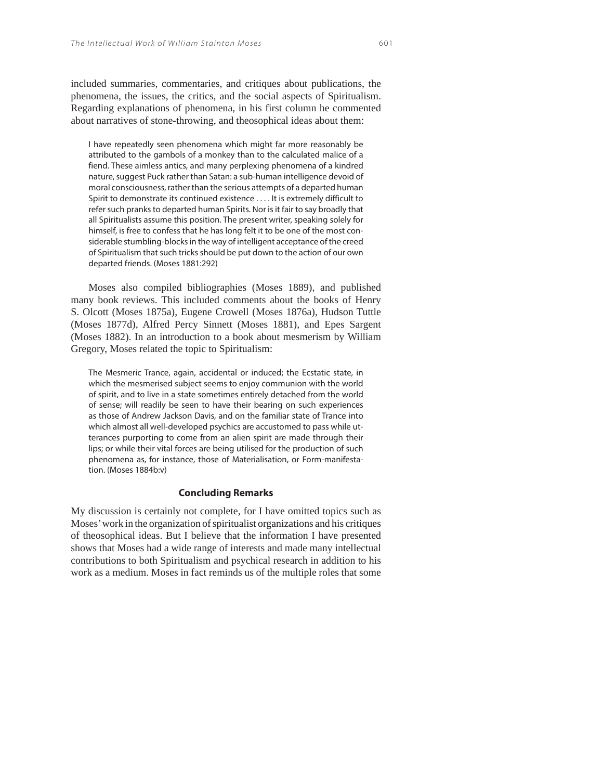included summaries, commentaries, and critiques about publications, the phenomena, the issues, the critics, and the social aspects of Spiritualism. Regarding explanations of phenomena, in his first column he commented about narratives of stone-throwing, and theosophical ideas about them:

I have repeatedly seen phenomena which might far more reasonably be attributed to the gambols of a monkey than to the calculated malice of a fiend. These aimless antics, and many perplexing phenomena of a kindred nature, suggest Puck rather than Satan: a sub-human intelligence devoid of moral consciousness, rather than the serious attempts of a departed human Spirit to demonstrate its continued existence . . . . It is extremely difficult to refer such pranks to departed human Spirits. Nor is it fair to say broadly that all Spiritualists assume this position. The present writer, speaking solely for himself, is free to confess that he has long felt it to be one of the most considerable stumbling-blocks in the way of intelligent acceptance of the creed of Spiritualism that such tricks should be put down to the action of our own departed friends. (Moses 1881:292)

Moses also compiled bibliographies (Moses 1889), and published many book reviews. This included comments about the books of Henry S. Olcott (Moses 1875a), Eugene Crowell (Moses 1876a), Hudson Tuttle (Moses 1877d), Alfred Percy Sinnett (Moses 1881), and Epes Sargent (Moses 1882). In an introduction to a book about mesmerism by William Gregory, Moses related the topic to Spiritualism:

The Mesmeric Trance, again, accidental or induced; the Ecstatic state, in which the mesmerised subject seems to enjoy communion with the world of spirit, and to live in a state sometimes entirely detached from the world of sense; will readily be seen to have their bearing on such experiences as those of Andrew Jackson Davis, and on the familiar state of Trance into which almost all well-developed psychics are accustomed to pass while utterances purporting to come from an alien spirit are made through their lips; or while their vital forces are being utilised for the production of such phenomena as, for instance, those of Materialisation, or Form-manifestation. (Moses 1884b:v)

#### **Concluding Remarks**

My discussion is certainly not complete, for I have omitted topics such as Moses' work in the organization of spiritualist organizations and his critiques of theosophical ideas. But I believe that the information I have presented shows that Moses had a wide range of interests and made many intellectual contributions to both Spiritualism and psychical research in addition to his work as a medium. Moses in fact reminds us of the multiple roles that some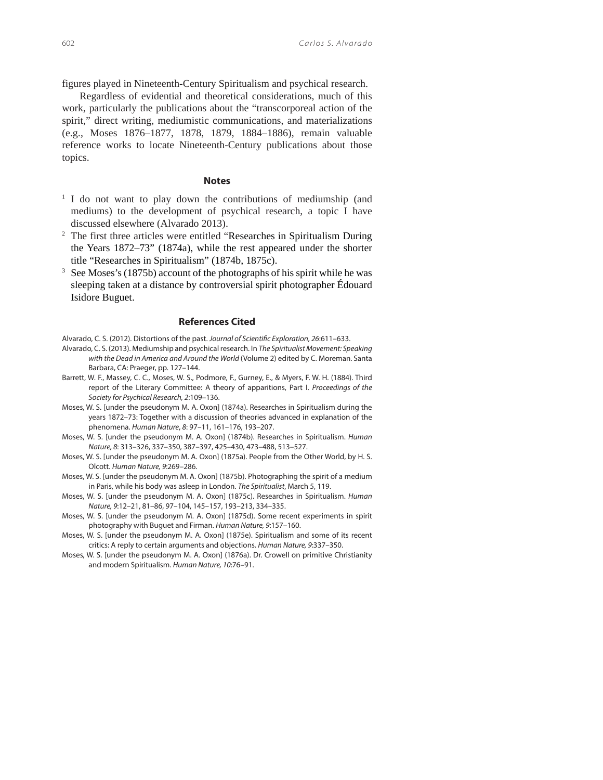figures played in Nineteenth-Century Spiritualism and psychical research.

Regardless of evidential and theoretical considerations, much of this work, particularly the publications about the "transcorporeal action of the spirit," direct writing, mediumistic communications, and materializations (e.g., Moses 1876–1877, 1878, 1879, 1884–1886), remain valuable reference works to locate Nineteenth-Century publications about those topics.

## **Notes**

- <sup>1</sup> I do not want to play down the contributions of mediumship (and mediums) to the development of psychical research, a topic I have discussed elsewhere (Alvarado 2013).
- <sup>2</sup> The first three articles were entitled "Researches in Spiritualism During the Years 1872–73" (1874a), while the rest appeared under the shorter title "Researches in Spiritualism" (1874b, 1875c).
- 3 See Moses's (1875b) account of the photographs of his spirit while he was sleeping taken at a distance by controversial spirit photographer Édouard Isidore Buguet.

#### **References Cited**

- Alvarado, C. S. (2013). Mediumship and psychical research. In The Spiritualist Movement: Speaking with the Dead in America and Around the World (Volume 2) edited by C. Moreman. Santa Barbara, CA: Praeger, pp. 127–144.
- Barrett, W. F., Massey, C. C., Moses, W. S., Podmore, F., Gurney, E., & Myers, F. W. H. (1884). Third report of the Literary Committee: A theory of apparitions, Part I. Proceedings of the Society for Psychical Research, 2:109-136.
- Moses, W. S. [under the pseudonym M. A. Oxon] (1874a). Researches in Spiritualism during the years 1872–73: Together with a discussion of theories advanced in explanation of the phenomena. Human Nature, 8: 97–11, 161–176, 193–207.
- Moses, W. S. [under the pseudonym M. A. Oxon] (1874b). Researches in Spiritualism. Human Nature, 8: 313–326, 337–350, 387–397, 425–430, 473–488, 513–527.
- Moses, W. S. [under the pseudonym M. A. Oxon] (1875a). People from the Other World, by H. S. Olcott. Human Nature, 9:269–286.
- Moses, W. S. [under the pseudonym M. A. Oxon] (1875b). Photographing the spirit of a medium in Paris, while his body was asleep in London. The Spiritualist, March 5, 119.
- Moses, W. S. [under the pseudonym M. A. Oxon] (1875c). Researches in Spiritualism. Human Nature, 9:12–21, 81–86, 97–104, 145–157, 193–213, 334–335.
- Moses, W. S. [under the pseudonym M. A. Oxon] (1875d). Some recent experiments in spirit photography with Buguet and Firman. Human Nature, 9:157–160.
- Moses, W. S. [under the pseudonym M. A. Oxon] (1875e). Spiritualism and some of its recent critics: A reply to certain arguments and objections. Human Nature, 9:337–350.
- Moses, W. S. [under the pseudonym M. A. Oxon] (1876a). Dr. Crowell on primitive Christianity and modern Spiritualism. Human Nature, 10:76–91.

Alvarado, C. S. (2012). Distortions of the past. Journal of Scientific Exploration, 26:611–633.